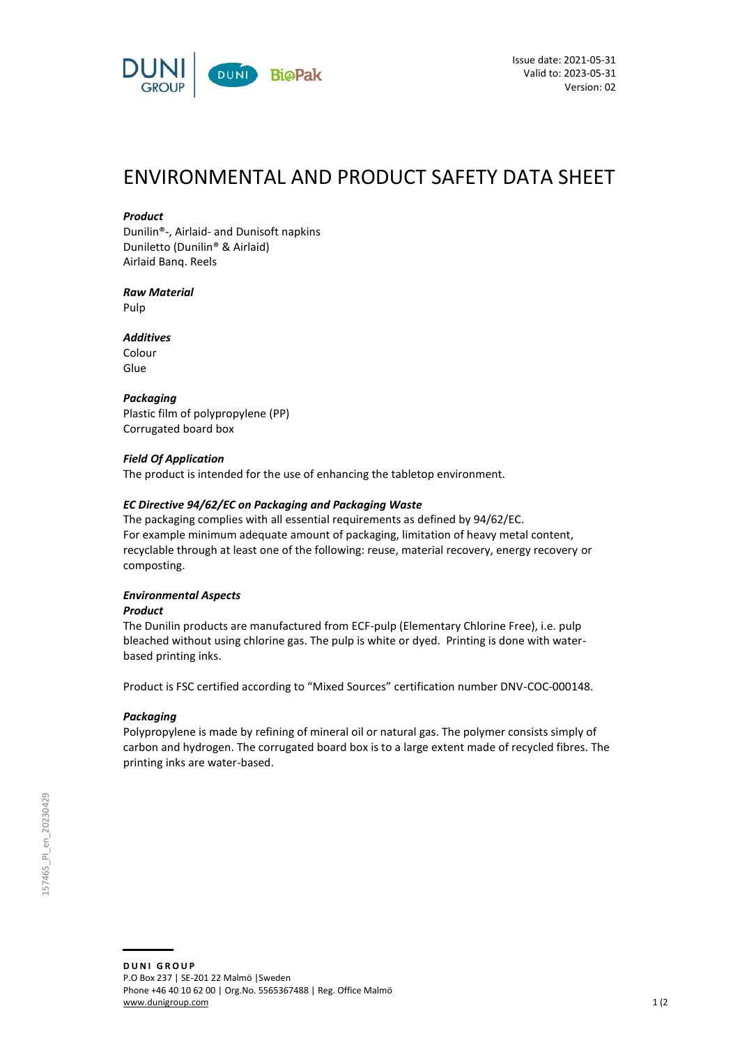

# ENVIRONMENTAL AND PRODUCT SAFETY DATA SHEET

#### *Product*

Dunilin®-, Airlaid- and Dunisoft napkins Duniletto (Dunilin® & Airlaid) Airlaid Banq. Reels

# *Raw Material*

Pulp

## *Additives*

Colour Glue

#### *Packaging*

Plastic film of polypropylene (PP) Corrugated board box

#### *Field Of Application*

The product is intended for the use of enhancing the tabletop environment.

## *EC Directive 94/62/EC on Packaging and Packaging Waste*

The packaging complies with all essential requirements as defined by 94/62/EC. For example minimum adequate amount of packaging, limitation of heavy metal content, recyclable through at least one of the following: reuse, material recovery, energy recovery or composting.

## *Environmental Aspects*

## *Product*

The Dunilin products are manufactured from ECF-pulp (Elementary Chlorine Free), i.e. pulp bleached without using chlorine gas. The pulp is white or dyed. Printing is done with waterbased printing inks.

Product is FSC certified according to "Mixed Sources" certification number DNV-COC-000148.

## *Packaging*

Polypropylene is made by refining of mineral oil or natural gas. The polymer consists simply of carbon and hydrogen. The corrugated board box is to a large extent made of recycled fibres. The printing inks are water-based.